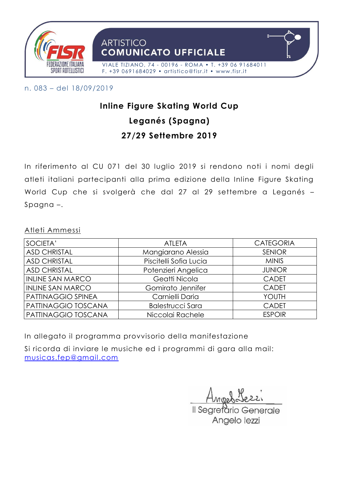

n. 083 – del 18/09/2019

# **Inline Figure Skating World Cup Leganés (Spagna) 27/29 Settembre 2019**

In riferimento al CU 071 del 30 luglio 2019 si rendono noti i nomi degli atleti italiani partecipanti alla prima edizione della Inline Figure Skating World Cup che si svolgerà che dal 27 al 29 settembre a Leganés – Spagna –.

Atleti Ammessi

| SOCIETA'                | <b>ATLETA</b>           | <b>CATEGORIA</b> |
|-------------------------|-------------------------|------------------|
| <b>ASD CHRISTAL</b>     | Mangiarano Alessia      | <b>SENIOR</b>    |
| <b>ASD CHRISTAL</b>     | Piscitelli Sofia Lucia  | <b>MINIS</b>     |
| <b>ASD CHRISTAL</b>     | Potenzieri Angelica     | <b>JUNIOR</b>    |
| <b>INLINE SAN MARCO</b> | Geatti Nicola           | <b>CADET</b>     |
| <b>INLINE SAN MARCO</b> | Gomirato Jennifer       | <b>CADET</b>     |
| PATTINAGGIO SPINEA      | Carnielli Daria         | YOUTH            |
| PATTINAGGIO TOSCANA     | <b>Balestrucci Sara</b> | <b>CADET</b>     |
| PATTINAGGIO TOSCANA     | Niccolai Rachele        | <b>ESPOIR</b>    |

In allegato il programma provvisorio della manifestazione

Si ricorda di inviare le musiche ed i programmi di gara alla mail: [musicas.fep@gmail.com](mailto:musicas.fep@gmail.com) 

Il Searetario Generale Angelo lezzi